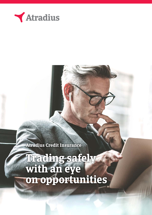

**Atradius Credit Insurance**

**Trading safely with an eye on opportunities**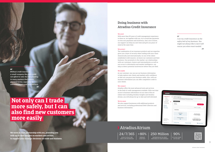## **Doing business with Atradius Credit Insurance**

### We avert

With more than 95 years of credit management experience to draw on, we together with you, try to avoid late payments or even non-payments and insolvency. And, nice to know, our support can help you save time and give you peace of mind at the same time.

### We protect

The combination of our insurance products and our expertise gives you a layer of security when trading with your client domestically and internationally. As one of the oldest established credit insurers, we know our customers and their business. Our proximity to the market, our relationships with our customers, buyers and intermediaries as well as our access to information and market intelligence, can help us detect potential insolvencies before they are filed.

*I see my credit insurance as the safety belt of my business. You might not always like it, but it will rescue you when most needed.*  $\overline{\mathbf{z}}$ 

### We enable

Credit management rrency Euro (EUR) Credit limits Total active amount<br>162,492,770 (EUR) ,<br>elect a single policy.<br>elect a single policy. CAna 250 Million | 90% UP TO 90% COVER ON THE DEBT

INFORMATION ON THE CREDIT WORTHINESS OF 250M COMPANIE

### 44

As our customer, you can use our business information to help explore new clients and markets with confidence so that you can grow your business safely. Also, with our business information you can offer competitive credit to your clients.

We work in close partnership with you, providing you  $|24/7/365| > 80\%$ **with up-to-date insights on markets and sectors, to support your strategic decisions on trade and business.**

### We connect

### $\overline{44}$

**Without credit insurance** *a small company like ours could not afford to take the risk of selling to many markets that require payment terms, especially to unknown buyers and new markets.*

> Atradius offers the most advanced tools and services in the field of credit management available. With real-time access to business information via our state of the art online tools including Atradius Insights and Atradius Atrium, you will always be up-to-date and well informed.

### We do more

We also support businesses with additional products and services, including professional Debt Collection and business information.

## **Atradius Atrium**

# **Not only can I trade more safely, but I can also find new customers more easily**

IMMEDIATE COVER NOTE

ACCESS TO POLICY AND CREDIT LIMIT INFORMATION

<u>2 a statistica de la construcción de la construcción de la construcción de la construcción de la construcción d</u>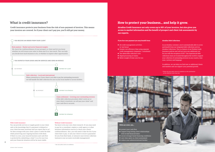## **What is credit insurance?**

**Credit insurance protects your business from the risk of non-payment of invoices. This means your invoices are covered. So if your client can't pay you, you'll still get your money.**

### With Credit Insurance

You can provide services or supply goods to your client safe in the knowledge that if a payment is delayed or your client becomes insolvent and you report that to us\*, we then arrange with your client a plan to settle the debt while preserving your ongoing business with them. If there is a loss, your insured business and cash flow is protected by submitting a claim\* to us for your loss and your financial situation will be far more stable.

### Without Credit Insurance

You have to do your own client research. Or you may need to pay for a consultant, employ a credit agency or other business information sources to check your clients' creditworthiness. Also, you will need to take the hit if your client fails to pay, or ask your client to secure a guarantee for you from their bank, or outsource your invoice collection (outsource your accounts receivable management).

In addition, we can help you find new or additional clients and markets and can support your potential growth.



### **If you face non-payment you may benefit from:**

- $\blacksquare$  All credit management activities in 'one house'
- $\blacksquare$  Greater cost efficiency than using separate credit management companies / consultants
- $\blacksquare$  Tax-deductible collection costs
- $\blacksquare$  Rapid processing of claims
- Better insight of total costs for you

## **How to protect your business… and help it grow.**

**Atradius Credit Insurance not only covers up to 90% of your invoices, but also gives you access to market information and the benefit of prospect and client risk assessments by our experts.**



- 
- 
- 
- 
- 

### **Atradius Debt Collections**

As an Atradius customer, you're automatically able to access and benefit from our integrated debt collections service, Atradius Collections. This is a feature of our Modula Credit Insurance policies and will not incur any additional cost for you with the exception of GST.\* Our experienced debt collections team are located throughout the world to support your collection of outstanding invoices in any country, time zone, currency and language.

\* See your policy terms & conditions.

\* Please see your policy terms & conditions as the contribution to the collection costs may vary.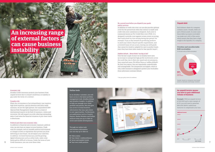### Economic risk

Atradius Credit Insurance protects your business from unpaid invoices due to a buyer's insolvency or inability to pay under the terms of a contract.

### Complex risk

When the circumstance of an extraordinary case requires high-level expertise, special attention and tailor made solutions, we are the right partner. Our unparalleled SRM (Special Risk Management) department is a team of international experts in the field of insurance, claims and recoveries. We will support you with collecting outstanding debts if and when the financial situation of your client starts to deteriorate.

### Political and other non-economic risks

In addition to financial and economic exposure, political risks can also have an impact on your business. Trade wars for example, and an unstable political environment or changes of laws or regulations that prevent you from delivering to your buyer, can all impact your cash flow. In addition, increased bureaucracy, and the growing digital infrastructure such as online trade, make some bankruptcies difficult to foresee. Under the terms of your

### Be covered even before you dispatch your goods and/or services

In addition to credit risk cover, we can also provide optional cover for the period from when the contract is made until credit risk cover commences at dispatch. Such cover is commonly known as Pre-Credit Risk cover (PCR). It is designed to provide cover against certain events occurring that could result in a loss arising during this period. For example, if you as the insured are producing products to meet your client's (buyer) specific requirements, and a Covered Cause of Loss occurs, leaving you with goods that cannot be resold or adapted for sale to another buyer, since they have been tailor made for that specific buyer\*.

### Sudden default… Never think "too big to fail"



Over the last couple of years we at Atradius have seen an increase in unexpected high profile insolvencies across the world that, due to their size, speed and circumstances, have surprised many. We define these as 'sudden defaults'. By their very nature, they are improbable, unpredictable and unimaginable. The unexpected can happen, which is why credit insurance is designed to protect your receivables from unforeseen customer default.

# **An increasing range of external factors can cause business instability**

Each balance sheet of a company contains assets. Usually, debts are part of those assets. In some cases those debts (accounts receivable) can make up to 40% of the assets, which means that they have a high weight in the liquidity of a company.

Through our online tools and business information, you can stay up-to-date on:

- $\blacksquare$  Policy status
- Your clients' creditworthiness
- Sector and market trends
- Your own credit position

### **Online tools**

As an Atradius customer, you will have access to the latest portfolio management tools, Atradius Atrium and Atradius Insights. In addition to help you manage your client portfolio and policies, they also give you access to actual business information that may open doors to new opportunities. Furthermore, our publications such as Country Reports, Market Monitors and further analyses keep you up-to-date on sector and market developments.

### **Unpaid debt**

(% of total value of B2B receivables)

### **Overdue and uncollectable B2B receivables**

Sample: based on companies interviewed (active in domestic and foreign markets).

### **An unpaid invoice means you have to gain additional volume of business**



**Example:** With an unpaid invoice of \$10,000 and a sales margin of 12.5% you will need to generate \$80,000 (800%) additional turnover to compensate your loss.

\* See your policy terms & conditions.